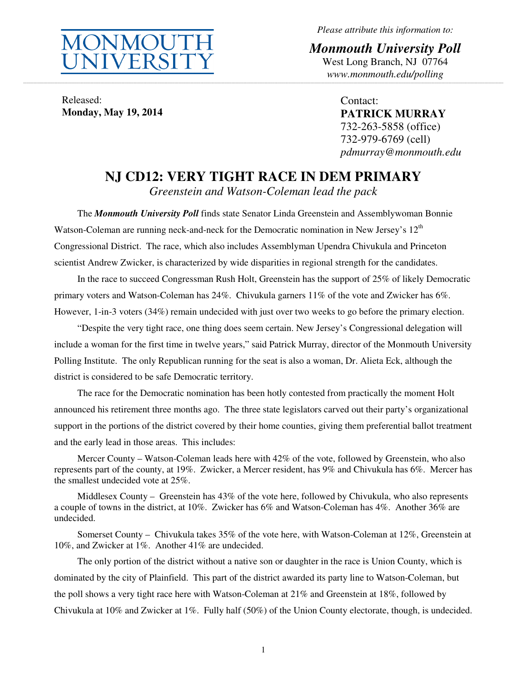

*Please attribute this information to:* 

*Monmouth University Poll*  West Long Branch, NJ 07764 *www.monmouth.edu/polling* **\_\_\_\_\_\_\_\_\_\_\_\_\_\_\_\_\_\_\_\_\_\_\_\_\_\_\_\_\_\_\_\_\_\_\_\_\_\_\_\_\_\_\_\_\_\_\_\_\_\_\_\_\_\_\_\_\_\_\_\_\_\_\_\_\_\_\_\_\_\_\_\_\_\_\_\_\_\_\_\_\_\_\_\_\_\_\_\_\_\_\_\_\_\_\_\_\_\_\_\_\_\_\_\_\_\_\_\_\_\_\_\_\_\_\_\_\_\_\_\_\_\_\_\_\_\_\_\_\_\_\_\_\_\_\_\_\_\_\_\_\_\_\_\_\_\_\_\_\_\_\_\_\_\_\_\_\_\_\_\_\_\_\_\_\_\_\_\_\_\_\_\_\_\_\_\_\_\_\_\_\_\_\_\_\_\_\_\_\_\_\_\_\_\_\_\_\_\_\_\_\_\_\_\_\_\_\_\_\_\_\_\_\_\_\_\_\_\_\_\_\_\_\_\_\_\_\_\_\_\_\_\_\_\_\_\_\_\_\_\_\_\_\_\_\_\_\_\_\_\_\_\_\_\_\_\_\_\_\_\_\_\_\_\_\_\_\_\_\_\_\_\_\_\_\_\_\_\_\_** 

Released: **Monday, May 19, 2014** 

Contact: **PATRICK MURRAY**  732-263-5858 (office) 732-979-6769 (cell) *pdmurray@monmouth.edu* 

# **NJ CD12: VERY TIGHT RACE IN DEM PRIMARY**

*Greenstein and Watson-Coleman lead the pack* 

The *Monmouth University Poll* finds state Senator Linda Greenstein and Assemblywoman Bonnie Watson-Coleman are running neck-and-neck for the Democratic nomination in New Jersey's  $12<sup>th</sup>$ Congressional District. The race, which also includes Assemblyman Upendra Chivukula and Princeton scientist Andrew Zwicker, is characterized by wide disparities in regional strength for the candidates.

In the race to succeed Congressman Rush Holt, Greenstein has the support of 25% of likely Democratic primary voters and Watson-Coleman has 24%. Chivukula garners 11% of the vote and Zwicker has 6%. However, 1-in-3 voters (34%) remain undecided with just over two weeks to go before the primary election.

"Despite the very tight race, one thing does seem certain. New Jersey's Congressional delegation will include a woman for the first time in twelve years," said Patrick Murray, director of the Monmouth University Polling Institute. The only Republican running for the seat is also a woman, Dr. Alieta Eck, although the district is considered to be safe Democratic territory.

The race for the Democratic nomination has been hotly contested from practically the moment Holt announced his retirement three months ago. The three state legislators carved out their party's organizational support in the portions of the district covered by their home counties, giving them preferential ballot treatment and the early lead in those areas. This includes:

Mercer County – Watson-Coleman leads here with 42% of the vote, followed by Greenstein, who also represents part of the county, at 19%. Zwicker, a Mercer resident, has 9% and Chivukula has 6%. Mercer has the smallest undecided vote at 25%.

Middlesex County – Greenstein has 43% of the vote here, followed by Chivukula, who also represents a couple of towns in the district, at 10%. Zwicker has 6% and Watson-Coleman has 4%. Another 36% are undecided.

Somerset County – Chivukula takes 35% of the vote here, with Watson-Coleman at 12%, Greenstein at 10%, and Zwicker at 1%. Another 41% are undecided.

The only portion of the district without a native son or daughter in the race is Union County, which is dominated by the city of Plainfield. This part of the district awarded its party line to Watson-Coleman, but the poll shows a very tight race here with Watson-Coleman at 21% and Greenstein at 18%, followed by Chivukula at 10% and Zwicker at 1%. Fully half (50%) of the Union County electorate, though, is undecided.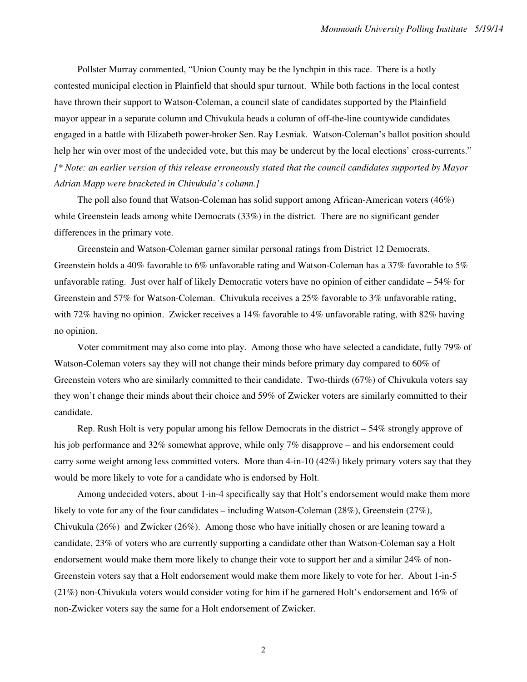Pollster Murray commented, "Union County may be the lynchpin in this race. There is a hotly contested municipal election in Plainfield that should spur turnout. While both factions in the local contest have thrown their support to Watson-Coleman, a council slate of candidates supported by the Plainfield mayor appear in a separate column and Chivukula heads a column of off-the-line countywide candidates engaged in a battle with Elizabeth power-broker Sen. Ray Lesniak. Watson-Coleman's ballot position should help her win over most of the undecided vote, but this may be undercut by the local elections' cross-currents." *[\* Note: an earlier version of this release erroneously stated that the council candidates supported by Mayor Adrian Mapp were bracketed in Chivukula's column.]*

The poll also found that Watson-Coleman has solid support among African-American voters (46%) while Greenstein leads among white Democrats (33%) in the district. There are no significant gender differences in the primary vote.

Greenstein and Watson-Coleman garner similar personal ratings from District 12 Democrats. Greenstein holds a 40% favorable to 6% unfavorable rating and Watson-Coleman has a 37% favorable to 5% unfavorable rating. Just over half of likely Democratic voters have no opinion of either candidate – 54% for Greenstein and 57% for Watson-Coleman. Chivukula receives a 25% favorable to 3% unfavorable rating, with 72% having no opinion. Zwicker receives a 14% favorable to 4% unfavorable rating, with 82% having no opinion.

Voter commitment may also come into play. Among those who have selected a candidate, fully 79% of Watson-Coleman voters say they will not change their minds before primary day compared to 60% of Greenstein voters who are similarly committed to their candidate. Two-thirds (67%) of Chivukula voters say they won't change their minds about their choice and 59% of Zwicker voters are similarly committed to their candidate.

Rep. Rush Holt is very popular among his fellow Democrats in the district – 54% strongly approve of his job performance and 32% somewhat approve, while only 7% disapprove – and his endorsement could carry some weight among less committed voters. More than 4-in-10 (42%) likely primary voters say that they would be more likely to vote for a candidate who is endorsed by Holt.

Among undecided voters, about 1-in-4 specifically say that Holt's endorsement would make them more likely to vote for any of the four candidates – including Watson-Coleman (28%), Greenstein (27%), Chivukula (26%) and Zwicker (26%). Among those who have initially chosen or are leaning toward a candidate, 23% of voters who are currently supporting a candidate other than Watson-Coleman say a Holt endorsement would make them more likely to change their vote to support her and a similar 24% of non-Greenstein voters say that a Holt endorsement would make them more likely to vote for her. About 1-in-5 (21%) non-Chivukula voters would consider voting for him if he garnered Holt's endorsement and 16% of non-Zwicker voters say the same for a Holt endorsement of Zwicker.

2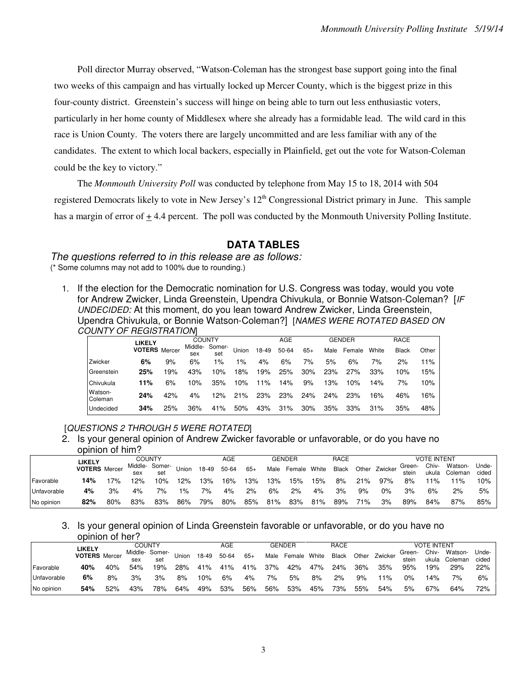Poll director Murray observed, "Watson-Coleman has the strongest base support going into the final two weeks of this campaign and has virtually locked up Mercer County, which is the biggest prize in this four-county district. Greenstein's success will hinge on being able to turn out less enthusiastic voters, particularly in her home county of Middlesex where she already has a formidable lead. The wild card in this race is Union County. The voters there are largely uncommitted and are less familiar with any of the candidates. The extent to which local backers, especially in Plainfield, get out the vote for Watson-Coleman could be the key to victory."

The *Monmouth University Poll* was conducted by telephone from May 15 to 18, 2014 with 504 registered Democrats likely to vote in New Jersey's 12<sup>th</sup> Congressional District primary in June. This sample has a margin of error of  $\pm$  4.4 percent. The poll was conducted by the Monmouth University Polling Institute.

# **DATA TABLES**

The questions referred to in this release are as follows: (\* Some columns may not add to 100% due to rounding.)

1. If the election for the Democratic nomination for U.S. Congress was today, would you vote for Andrew Zwicker, Linda Greenstein, Upendra Chivukula, or Bonnie Watson-Coleman? [IF UNDECIDED: At this moment, do you lean toward Andrew Zwicker, Linda Greenstein, Upendra Chivukula, or Bonnie Watson-Coleman?] [NAMES WERE ROTATED BASED ON COUNTY OF REGISTRATION]

|                    | LIKELY               |     | COUNTY         |               |       |       | AGE   |       |      | GENDER |       | RACE         |       |
|--------------------|----------------------|-----|----------------|---------------|-------|-------|-------|-------|------|--------|-------|--------------|-------|
|                    | <b>VOTERS</b> Mercer |     | Middle-<br>sex | Somer-<br>set | Union | 18-49 | 50-64 | $65+$ | Male | Female | White | <b>Black</b> | Other |
| Zwicker            | 6%                   | 9%  | 6%             | $1\%$         | 1%    | 4%    | 6%    | 7%    | 5%   | 6%     | 7%    | 2%           | 11%   |
| Greenstein         | 25%                  | 19% | 43%            | 10%           | 18%   | 19%   | 25%   | 30%   | 23%  | 27%    | 33%   | 10%          | 15%   |
| Chivukula          | 11%                  | 6%  | 10%            | 35%           | 10%   | 11%   | 14%   | 9%    | 13%  | 10%    | 14%   | 7%           | 10%   |
| Watson-<br>Coleman | 24%                  | 42% | 4%             | 12%           | 21%   | 23%   | 23%   | 24%   | 24%  | 23%    | 16%   | 46%          | 16%   |
| Undecided          | 34%                  | 25% | 36%            | 41%           | 50%   | 43%   | 31%   | 30%   | 35%  | 33%    | 31%   | 35%          | 48%   |

#### [QUESTIONS 2 THROUGH 5 WERE ROTATED]

2. Is your general opinion of Andrew Zwicker favorable or unfavorable, or do you have no opinion of him?

|             | <b>LIKELY</b>               |       | COUNTY |                       |       |       | AGE   |       |      | <b>GENDER</b> |     | RACE  |     |               |                 | <b>VOTE INTENT</b> |                    |                |
|-------------|-----------------------------|-------|--------|-----------------------|-------|-------|-------|-------|------|---------------|-----|-------|-----|---------------|-----------------|--------------------|--------------------|----------------|
|             | <b>VOTERS</b> Mercer<br>14% |       | sex    | Middle- Somer-<br>set | Union | 18-49 | 50-64 | $65+$ | Male | Female White  |     | Black |     | Other Zwicker | Green-<br>stein | Chiv-<br>ukula     | Watson-<br>Coleman | Unde-<br>cided |
| Favorable   |                             | $7\%$ | $12\%$ | 10%                   | 12%   | 13%   | 16%   | 13%   | 13%  | 15%           | 15% | 8%    | 21% | 97%           | 8%              | $1\%$              | 11%                | 10%            |
| Unfavorable | 4%                          | 3%    | 4%     | 7%                    | 1%    | 7%    | 4%    | 2%    | 6%   | 2%            | 4%  | 3%    | 9%  | $0\%$         | 3%              | 6%                 | 2%                 | 5%             |
| No opinion  | 82%                         | 80%   | 83%    | 83%                   | 86%   | 79%   | 80%   | 85%   | 81%  | 83%           | 81% | 89%   | 71% | 3%            | 89%             | 84%                | 87%                | 85%            |

3. Is your general opinion of Linda Greenstein favorable or unfavorable, or do you have no opinion of her?

|             | LIKELY               |     |     | COUNTY                |       |       | AGE   |       |      | GENDER       |     | RACE  |     |               |                 | <b>VOTE INTENT</b> |                    |                |
|-------------|----------------------|-----|-----|-----------------------|-------|-------|-------|-------|------|--------------|-----|-------|-----|---------------|-----------------|--------------------|--------------------|----------------|
|             | <b>VOTERS</b> Mercer |     | sex | Middle- Somer-<br>set | Union | 18-49 | 50-64 | $65+$ | Male | Female White |     | Black |     | Other Zwicker | Green-<br>stein | Chiv-<br>ukula     | Watson-<br>Coleman | Unde-<br>cided |
| Favorable   | 40%                  | 40% | 54% | 19%                   | 28%   | 41%   | 41%   | 41%   | 37%  | 42%          | 47% | 24%   | 36% | 35%           | 95%             | 19%                | 29%                | 22%            |
| Unfavorable | 6%                   | 8%  | 3%  | 3%                    | 8%    | 10%   | 6%    | 4%    | 7%   | 5%           | 8%  | 2%    | 9%  | $11\%$        | $0\%$           | 14%                | 7%                 | 6%             |
| No opinion  | 54%                  | 52% | 43% | 78%                   | 64%   | 49%   | 53%   | 56%   | 56%  | 53%          | 45% | 73%   | 55% | 54%           | 5%              | 67%                | 64%                | 72%            |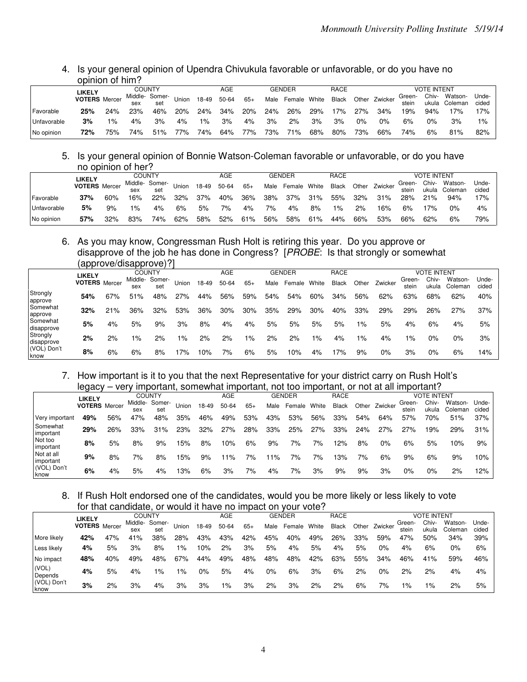## 4. Is your general opinion of Upendra Chivukula favorable or unfavorable, or do you have no opinion of him?

|             | <b>LIKELY</b>        |        | COUNTY |                       |       |        | AGE   |       |      | GENDER       |     | RACE         |     |               |                 | <b>VOTE INTENT</b> |                    |                |
|-------------|----------------------|--------|--------|-----------------------|-------|--------|-------|-------|------|--------------|-----|--------------|-----|---------------|-----------------|--------------------|--------------------|----------------|
|             | <b>VOTERS</b> Mercer |        | sex    | Middle- Somer-<br>set | Union | 18-49  | 50-64 | $65+$ | Male | Female White |     | <b>Black</b> |     | Other Zwicker | Green-<br>stein | Chiv-<br>ukula     | Watson-<br>Coleman | Unde-<br>cided |
| Favorable   | 25%                  | $24\%$ | 23%    | 46%                   | 20%   | $24\%$ | 34%   | 20%   | 24%  | 26%          | 29% | 17%          | 27% | $34\%$        | 19%             | 94%                | 17%                | 17%            |
| Unfavorable | 3%                   | $1\%$  | 4%     | 3%                    | 4%    | $1\%$  | 3%    | 4%    | 3%   | $2\%$        | 3%  | 3%           | 0%  | በ%            | 6%              | 0%                 | 3%                 | $1\%$          |
| No opinion  | 72%                  | 75%    | 74%    | 51%                   | 77%   | 74%    | 64%   | 77%   | 73%  | 71%          | 68% | 80%          | 73% | 66%           | 74%             | 6%                 | 81%                | 82%            |

## 5. Is your general opinion of Bonnie Watson-Coleman favorable or unfavorable, or do you have no opinion of her?

|             | <b>LIKELY</b>        |     |       | <b>COUNTY</b>  |              |       | AGE   |       |      | GENDER       |     | RACE         |       |               |        | <b>VOTE INTENT</b> |               |       |
|-------------|----------------------|-----|-------|----------------|--------------|-------|-------|-------|------|--------------|-----|--------------|-------|---------------|--------|--------------------|---------------|-------|
|             | <b>VOTERS</b> Mercer |     |       | Middle- Somer- | <b>Union</b> | 18-49 | 50-64 | $65+$ | Male | Female White |     | <b>Black</b> |       | Other Zwicker | Green- | Chiv-              | Watson-       | Unde- |
|             |                      |     | sex   | set            |              |       |       |       |      |              |     |              |       |               | stein  |                    | ukula Coleman | cided |
| Favorable   | 37%                  | 60% | 16%   | 22%            | $32\%$       | 37%   | 40%   | 36%   |      | 38% 37%      | 31% | 55%          | 32%   | 31%           | 28%    | 21%                | 94%           | 17%   |
| Unfavorable | 5%                   | 9%  | $1\%$ | 4%             | 6%           | 5%    | 7%    | 4%    | 7%   | 4%           | 8%  | $1\%$        | $2\%$ | 16%           | 6%     | 17%                | 0%            | 4%    |
| No opinion  | 57%                  | 32% | 83%   | 74%            | 62%          | 58%   | 52%   | 61%   | 56%  | 58%          | 61% | 44%          | 66%   | 53%           | 66%    | 62%                | 6%            | 79%   |

#### 6. As you may know, Congressman Rush Holt is retiring this year. Do you approve or disapprove of the job he has done in Congress? [PROBE: Is that strongly or somewhat (approve/disapprove)?]

|                            |                      |     | $\frac{1}{2}$ |                      |       |       |            |       |      |               |       |       |       |         |                 |                    |                    |                |
|----------------------------|----------------------|-----|---------------|----------------------|-------|-------|------------|-------|------|---------------|-------|-------|-------|---------|-----------------|--------------------|--------------------|----------------|
|                            | <b>LIKELY</b>        |     | <b>COUNTY</b> |                      |       |       | <b>AGE</b> |       |      | <b>GENDER</b> |       | RACE  |       |         |                 | <b>VOTE INTENT</b> |                    |                |
|                            | <b>VOTERS</b> Mercer |     | sex           | Middle-Somer-<br>set | Union | 18-49 | 50-64      | $65+$ | Male | Female        | White | Black | Other | Zwicker | Green-<br>stein | Chiv-<br>ukula     | Watson-<br>Coleman | Unde-<br>cided |
| Strongly<br>approve        | 54%                  | 67% | 51%           | 48%                  | 27%   | 44%   | 56%        | 59%   | 54%  | 54%           | 60%   | 34%   | 56%   | 62%     | 63%             | 68%                | 62%                | 40%            |
| <b>Somewhat</b><br>approve | 32%                  | 21% | 36%           | 32%                  | 53%   | 36%   | 30%        | 30%   | 35%  | 29%           | 30%   | 40%   | 33%   | 29%     | 29%             | 26%                | 27%                | 37%            |
| Somewhat<br>disapprove     | 5%                   | 4%  | 5%            | 9%                   | 3%    | 8%    | 4%         | 4%    | 5%   | 5%            | 5%    | 5%    | $1\%$ | 5%      | 4%              | 6%                 | 4%                 | 5%             |
| Strongly<br>disapprove     | 2%                   | 2%  | $1\%$         | 2%                   | $1\%$ | 2%    | 2%         | $1\%$ | 2%   | 2%            | $1\%$ | 4%    | $1\%$ | 4%      | $1\%$           | 0%                 | $0\%$              | 3%             |
| (VOL) Don't<br>know        | 8%                   | 6%  | 6%            | 8%                   | 17%   | 0%ا   | 7%         | 6%    | 5%   | 10%           | 4%    | 17%   | 9%    | 0%      | 3%              | $0\%$              | 6%                 | 14%            |

## 7. How important is it to you that the next Representative for your district carry on Rush Holt's legacy – very important, somewhat important, not too important, or not at all important?

|                         | - 7 - - -            |     |     |                |       |       |       |       |      |               |       |              |       |         |        |                    |         |       |
|-------------------------|----------------------|-----|-----|----------------|-------|-------|-------|-------|------|---------------|-------|--------------|-------|---------|--------|--------------------|---------|-------|
|                         | <b>LIKELY</b>        |     |     | <b>COUNTY</b>  |       |       | AGE   |       |      | <b>GENDER</b> |       | <b>RACE</b>  |       |         |        | <b>VOTE INTENT</b> |         |       |
|                         | <b>VOTERS</b> Mercer |     |     | Middle- Somer- | Union | 18-49 | 50-64 | $65+$ | Male | Female        | White | <b>Black</b> | Other | Zwicker | Green- | Chiv-              | Watson- | Unde- |
|                         |                      |     | sex | set            |       |       |       |       |      |               |       |              |       |         | stein  | ukula              | Coleman | cided |
| Very important          | 49%                  | 56% | 47% | 48%            | 35%   | 46%   | 49%   | 53%   | 43%  | 53%           | 56%   | 33%          | 54%   | 64%     | 57%    | 70%                | 51%     | 37%   |
| Somewhat<br>important   | 29%                  | 26% | 33% | 31%            | 23%   | 32%   | 27%   | 28%   | 33%  | 25%           | 27%   | 33%          | 24%   | 27%     | 27%    | 19%                | 29%     | 31%   |
| Not too<br>important    | 8%                   | 5%  | 8%  | 9%             | 15%   | 8%    | 10%   | 6%    | 9%   | 7%            | 7%    | 12%          | 8%    | 0%      | 6%     | 5%                 | 10%     | 9%    |
| Not at all<br>important | 9%                   | 8%  | 7%  | 8%             | 15%   | 9%    | 11%   | 7%    | ' 1% | 7%            | 7%    | 13%          | 7%    | 6%      | 9%     | 6%                 | 9%      | 10%   |
| (VOL) Don't<br>know     | 6%                   | 4%  | 5%  | 4%             | 13%   | 6%    | 3%    | 7%    | 4%   | 7%            | 3%    | 9%           | 9%    | 3%      | 0%     | $0\%$              | 2%      | 12%   |

#### 8. If Rush Holt endorsed one of the candidates, would you be more likely or less likely to vote for that candidate, or would it have no impact on your vote?

|                     | LIKELY               |     |         | COUNTY |       |       | AGE   |       |      | <b>GENDER</b> |       | RACE         |     |               |        | <b>VOTE INTENT</b> |         |       |
|---------------------|----------------------|-----|---------|--------|-------|-------|-------|-------|------|---------------|-------|--------------|-----|---------------|--------|--------------------|---------|-------|
|                     | <b>VOTERS</b> Mercer |     | Middle- | Somer- | Union | 18-49 | 50-64 | $65+$ | Male | Female        | White | <b>Black</b> |     | Other Zwicker | Green- | Chiv-              | Watson- | Unde- |
|                     |                      |     | sex     | set    |       |       |       |       |      |               |       |              |     |               | stein  | ukula              | Coleman | cided |
| More likely         | 42%                  | 47% | 41%     | 38%    | 28%   | 43%   | 43%   | 42%   | 45%  | 40%           | 49%   | 26%          | 33% | 59%           | 47%    | 50%                | 34%     | 39%   |
| Less likely         | 4%                   | 5%  | 3%      | 8%     | $1\%$ | 10%   | 2%    | 3%    | 5%   | 4%            | 5%    | 4%           | 5%  | 0%            | 4%     | 6%                 | 0%      | 6%    |
| No impact           | 48%                  | 40% | 49%     | 48%    | 67%   | 44%   | 49%   | 48%   | 48%  | 48%           | 42%   | 63%          | 55% | 34%           | 46%    | 41%                | 59%     | 46%   |
| (VOL)<br>Depends    | 4%                   | 5%  | 4%      | 1%     | ه ۱   | 0%    | 5%    | 4%    | 0%   | 6%            | 3%    | 6%           | 2%  | 0%            | 2%     | 2%                 | 4%      | 4%    |
| (VOL) Don't<br>know | 3%                   | 2%  | 3%      | 4%     | 3%    | 3%    | $1\%$ | 3%    | 2%   | 3%            | 2%    | 2%           | 6%  | 7%            | 1%     | $1\%$              | 2%      | 5%    |